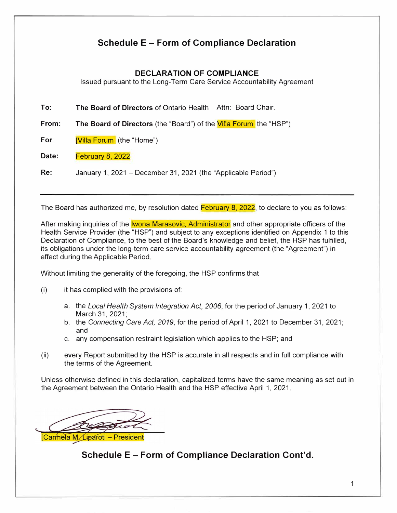## **Schedule E - Form of Compliance Declaration**

### **DECLARATION OF COMPLIANCE**

Issued pursuant to the Long-Term Care Service Accountability Agreement

**To: The Board of Directors** of Ontario Health Attn: Board Chair.

**From: The Board of Directors** (the "Board") of the Villa Forum the "HSP")

**For:** [Villa Forum (the "Home")

**Date:** February 8, 2022

**Re:** January 1, 2021 - December 31, 2021 (the "Applicable Period")

The Board has authorized me, by resolution dated February 8, 2022, to declare to you as follows:

After making inquiries of the **lwona Marasovic, Administrator** and other appropriate officers of the Health Service Provider (the "HSP") and subject to any exceptions identified on Appendix 1 to this Declaration of Compliance, to the best of the Board's knowledge and belief, the HSP has fulfilled, its obligations under the long-term care service accountability agreement (the "Agreement") in effect during the Applicable Period.

Without limiting the generality of the foregoing, the HSP confirms that

(i) it has complied with the provisions of:

- a. the *Local Health System Integration Act,* 2006, for the period of January 1, 2021 to March 31, 2021;
- b. the *Connecting Care Act, 2019,* for the period of April 1, 2021 to December 31, 2021; and
- c. any compensation restraint legislation which applies to the HSP; and
- (ii) every Report submitted by the HSP is accurate in all respects and in full compliance with the terms of the Agreement.

Unless otherwise defined in this declaration, capitalized terms have the same meaning as set out in the Agreement between the Ontario Health and the HSP effective April 1, 2021.

Carmela M. Liparoti - President

## **Schedule E - Form of Compliance Declaration Cont'd.**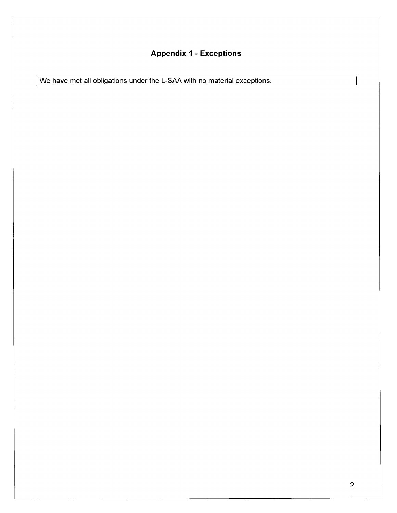# **Appendix 1 - Exceptions**

We have met all obligations under the L-SAA with no material exceptions.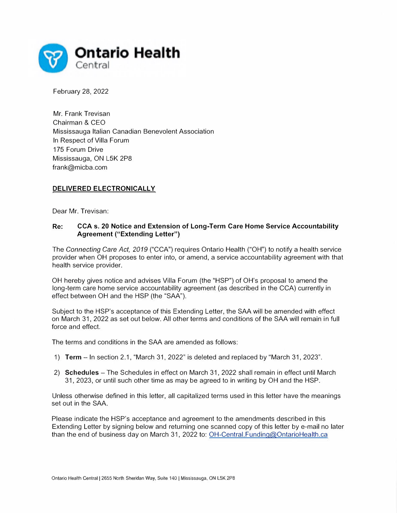

February 28, 2022

Mr. Frank Trevisan Chairman & CEO Mississauga Italian Canadian Benevolent Association In Respect of Villa Forum 175 Forum Drive Mississauga, ON L5K 2P8 frank@micba.com

### **DELIVERED ELECTRONICALLY**

Dear Mr. Trevisan:

### **Re: CCA s. 20 Notice and Extension of Long-Term Care Home Service Accountability Agreement ("Extending Letter")**

The *Connecting Care Act, 2019* ("CCA") requires Ontario Health ("OH") to notify a health service provider when OH proposes to enter into, or amend, a service accountability agreement with that health service provider.

OH hereby gives notice and advises Villa Forum (the "HSP") of OH's proposal to amend the long-term care home service accountability agreement (as described in the CCA) currently in effect between OH and the HSP (the "SAA").

Subject to the HSP's acceptance of this Extending Letter, the SAA will be amended with effect on March 31, 2022 as set out below. All other terms and conditions of the SAA will remain in full force and effect.

The terms and conditions in the SAA are amended as follows:

- 1) **Term**  In section 2.1, "March 31, 2022" is deleted and replaced by "March 31, 2023".
- 2) **Schedules**  The Schedules in effect on March 31, 2022 shall remain in effect until March 31, 2023, or until such other time as may be agreed to in writing by OH and the HSP.

Unless otherwise defined in this letter, all capitalized terms used in this letter have the meanings set out in the SAA.

Please indicate the HSP's acceptance and agreement to the amendments described in this Extending Letter by signing below and returning one scanned copy of this letter by e-mail no later than the end of business day on March 31, 2022 to: OH-Central.Funding@OntarioHealth.ca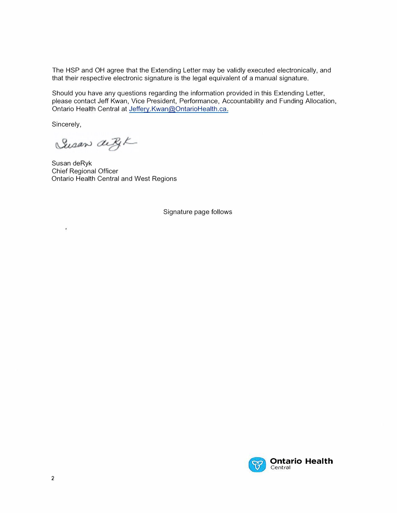The HSP and OH agree that the Extending Letter may be validly executed electronically, and that their respective electronic signature is the legal equivalent of a manual signature.

Should you have any questions regarding the information provided in this Extending Letter, please contact Jeff Kwan, Vice President, Performance, Accountability and Funding Allocation, Ontario Health Central at Jeffery.Kwan@OntarioHealth.ca.

Sincerely,

¥

Susan deBK

Susan deRyk Chief Regional Officer Ontario Health Central and West Regions

Signature page follows